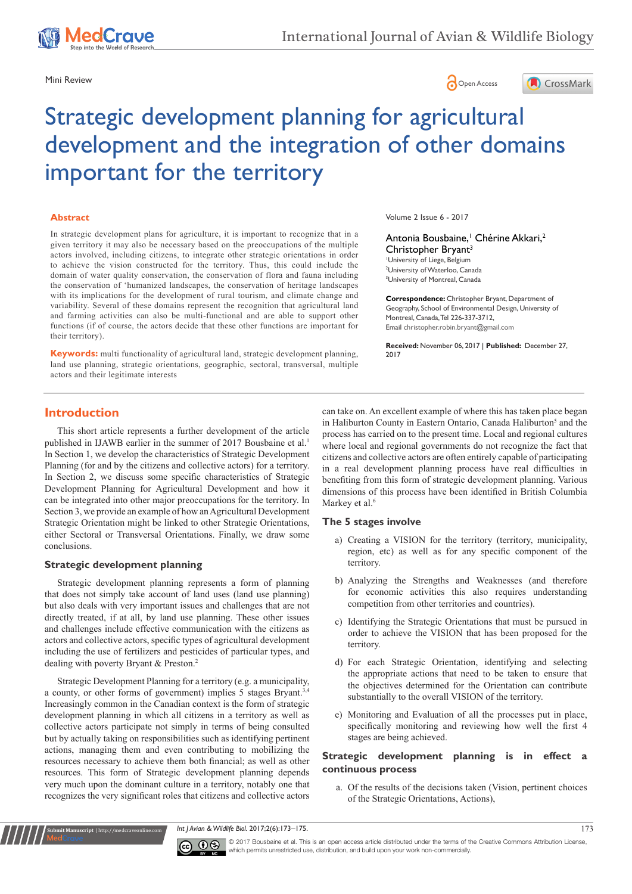





# Strategic development planning for agricultural development and the integration of other domains important for the territory

#### **Abstract**

In strategic development plans for agriculture, it is important to recognize that in a given territory it may also be necessary based on the preoccupations of the multiple actors involved, including citizens, to integrate other strategic orientations in order to achieve the vision constructed for the territory. Thus, this could include the domain of water quality conservation, the conservation of flora and fauna including the conservation of 'humanized landscapes, the conservation of heritage landscapes with its implications for the development of rural tourism, and climate change and variability. Several of these domains represent the recognition that agricultural land and farming activities can also be multi-functional and are able to support other functions (if of course, the actors decide that these other functions are important for their territory).

**Keywords:** multi functionality of agricultural land, strategic development planning, land use planning, strategic orientations, geographic, sectoral, transversal, multiple actors and their legitimate interests

Volume 2 Issue 6 - 2017

#### Antonia Bousbaine,<sup>1</sup> Chérine Akkari,<sup>2</sup> Christopher Bryant<sup>3</sup> 1 University of Liege, Belgium

2 University of Waterloo, Canada 3 University of Montreal, Canada

**Correspondence:** Christopher Bryant, Department of Geography, School of Environmental Design, University of Montreal, Canada, Tel 226-337-3712, Email christopher.robin.bryant@gmail.com

**Received:** November 06, 2017 | **Published:** December 27, 2017

# **Introduction**

This short article represents a further development of the article published in IJAWB earlier in the summer of 2017 Bousbaine et al.<sup>1</sup> In Section 1, we develop the characteristics of Strategic Development Planning (for and by the citizens and collective actors) for a territory. In Section 2, we discuss some specific characteristics of Strategic Development Planning for Agricultural Development and how it can be integrated into other major preoccupations for the territory. In Section 3, we provide an example of how an Agricultural Development Strategic Orientation might be linked to other Strategic Orientations, either Sectoral or Transversal Orientations. Finally, we draw some conclusions.

#### **Strategic development planning**

**Kubmit Manuscript** | http://medcraveonline.c

Strategic development planning represents a form of planning that does not simply take account of land uses (land use planning) but also deals with very important issues and challenges that are not directly treated, if at all, by land use planning. These other issues and challenges include effective communication with the citizens as actors and collective actors, specific types of agricultural development including the use of fertilizers and pesticides of particular types, and dealing with poverty Bryant & Preston.2

Strategic Development Planning for a territory (e.g. a municipality, a county, or other forms of government) implies 5 stages Bryant.3,4 Increasingly common in the Canadian context is the form of strategic development planning in which all citizens in a territory as well as collective actors participate not simply in terms of being consulted but by actually taking on responsibilities such as identifying pertinent actions, managing them and even contributing to mobilizing the resources necessary to achieve them both financial; as well as other resources. This form of Strategic development planning depends very much upon the dominant culture in a territory, notably one that recognizes the very significant roles that citizens and collective actors

can take on. An excellent example of where this has taken place began in Haliburton County in Eastern Ontario, Canada Haliburton<sup>5</sup> and the process has carried on to the present time. Local and regional cultures where local and regional governments do not recognize the fact that citizens and collective actors are often entirely capable of participating in a real development planning process have real difficulties in benefiting from this form of strategic development planning. Various dimensions of this process have been identified in British Columbia Markey et al.<sup>6</sup>

#### **The 5 stages involve**

- a) Creating a VISION for the territory (territory, municipality, region, etc) as well as for any specific component of the territory.
- b) Analyzing the Strengths and Weaknesses (and therefore for economic activities this also requires understanding competition from other territories and countries).
- c) Identifying the Strategic Orientations that must be pursued in order to achieve the VISION that has been proposed for the territory.
- d) For each Strategic Orientation, identifying and selecting the appropriate actions that need to be taken to ensure that the objectives determined for the Orientation can contribute substantially to the overall VISION of the territory.
- e) Monitoring and Evaluation of all the processes put in place, specifically monitoring and reviewing how well the first 4 stages are being achieved.

#### **Strategic development planning is in effect a continuous process**

a. Of the results of the decisions taken (Vision, pertinent choices of the Strategic Orientations, Actions),

*Int J Avian & Wildlife Biol.* 2017;2(6):173‒175. 173



© 2017 Bousbaine et al. This is an open access article distributed under the terms of the [Creative Commons Attribution License](https://creativecommons.org/licenses/by-nc/4.0/), which permits unrestricted use, distribution, and build upon your work non-commercially.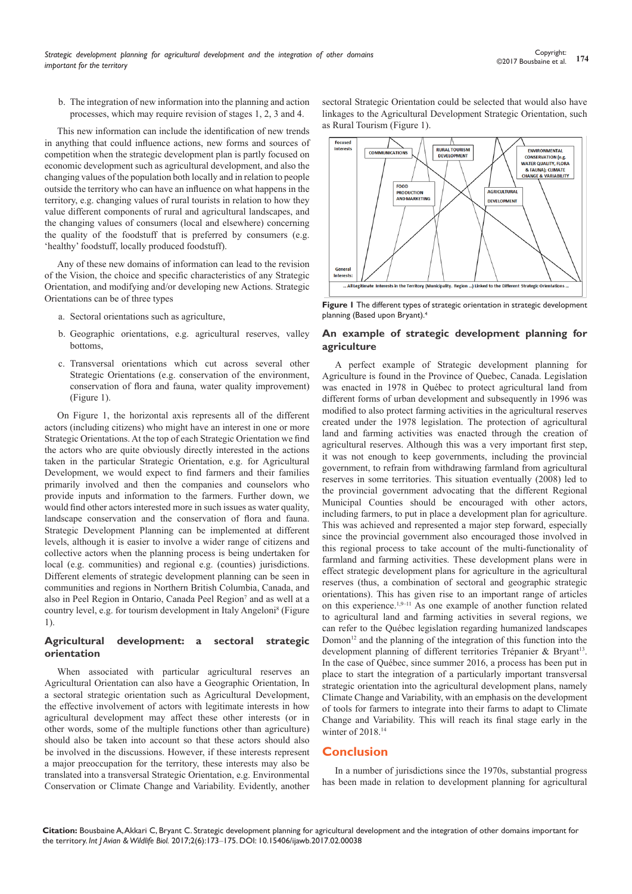b. The integration of new information into the planning and action processes, which may require revision of stages 1, 2, 3 and 4.

This new information can include the identification of new trends in anything that could influence actions, new forms and sources of competition when the strategic development plan is partly focused on economic development such as agricultural development, and also the changing values of the population both locally and in relation to people outside the territory who can have an influence on what happens in the territory, e.g. changing values of rural tourists in relation to how they value different components of rural and agricultural landscapes, and the changing values of consumers (local and elsewhere) concerning the quality of the foodstuff that is preferred by consumers (e.g. 'healthy' foodstuff, locally produced foodstuff).

Any of these new domains of information can lead to the revision of the Vision, the choice and specific characteristics of any Strategic Orientation, and modifying and/or developing new Actions. Strategic Orientations can be of three types

- a. Sectoral orientations such as agriculture,
- b. Geographic orientations, e.g. agricultural reserves, valley bottoms,
- c. Transversal orientations which cut across several other Strategic Orientations (e.g. conservation of the environment, conservation of flora and fauna, water quality improvement) (Figure 1).

On Figure 1, the horizontal axis represents all of the different actors (including citizens) who might have an interest in one or more Strategic Orientations. At the top of each Strategic Orientation we find the actors who are quite obviously directly interested in the actions taken in the particular Strategic Orientation, e.g. for Agricultural Development, we would expect to find farmers and their families primarily involved and then the companies and counselors who provide inputs and information to the farmers. Further down, we would find other actors interested more in such issues as water quality, landscape conservation and the conservation of flora and fauna. Strategic Development Planning can be implemented at different levels, although it is easier to involve a wider range of citizens and collective actors when the planning process is being undertaken for local (e.g. communities) and regional e.g. (counties) jurisdictions. Different elements of strategic development planning can be seen in communities and regions in Northern British Columbia, Canada, and also in Peel Region in Ontario, Canada Peel Region<sup>7</sup> and as well at a country level, e.g. for tourism development in Italy Angeloni<sup>8</sup> (Figure 1).

#### **Agricultural development: a sectoral strategic orientation**

When associated with particular agricultural reserves an Agricultural Orientation can also have a Geographic Orientation, In a sectoral strategic orientation such as Agricultural Development, the effective involvement of actors with legitimate interests in how agricultural development may affect these other interests (or in other words, some of the multiple functions other than agriculture) should also be taken into account so that these actors should also be involved in the discussions. However, if these interests represent a major preoccupation for the territory, these interests may also be translated into a transversal Strategic Orientation, e.g. Environmental Conservation or Climate Change and Variability. Evidently, another

sectoral Strategic Orientation could be selected that would also have linkages to the Agricultural Development Strategic Orientation, such as Rural Tourism (Figure 1).



**Figure 1** The different types of strategic orientation in strategic development planning (Based upon Bryant).<sup>4</sup>

#### **An example of strategic development planning for agriculture**

A perfect example of Strategic development planning for Agriculture is found in the Province of Quebec, Canada. Legislation was enacted in 1978 in Québec to protect agricultural land from different forms of urban development and subsequently in 1996 was modified to also protect farming activities in the agricultural reserves created under the 1978 legislation. The protection of agricultural land and farming activities was enacted through the creation of agricultural reserves. Although this was a very important first step, it was not enough to keep governments, including the provincial government, to refrain from withdrawing farmland from agricultural reserves in some territories. This situation eventually (2008) led to the provincial government advocating that the different Regional Municipal Counties should be encouraged with other actors, including farmers, to put in place a development plan for agriculture. This was achieved and represented a major step forward, especially since the provincial government also encouraged those involved in this regional process to take account of the multi-functionality of farmland and farming activities. These development plans were in effect strategic development plans for agriculture in the agricultural reserves (thus, a combination of sectoral and geographic strategic orientations). This has given rise to an important range of articles on this experience.1,9–11 As one example of another function related to agricultural land and farming activities in several regions, we can refer to the Québec legislation regarding humanized landscapes Domon<sup>12</sup> and the planning of the integration of this function into the development planning of different territories Trépanier & Bryant<sup>13</sup>. In the case of Québec, since summer 2016, a process has been put in place to start the integration of a particularly important transversal strategic orientation into the agricultural development plans, namely Climate Change and Variability, with an emphasis on the development of tools for farmers to integrate into their farms to adapt to Climate Change and Variability. This will reach its final stage early in the winter of 2018.<sup>14</sup>

## **Conclusion**

In a number of jurisdictions since the 1970s, substantial progress has been made in relation to development planning for agricultural